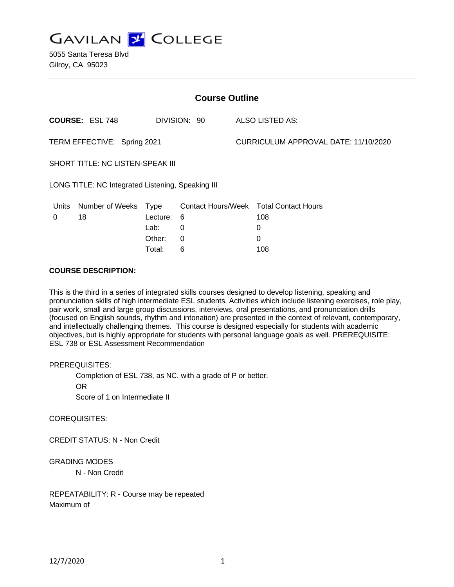

5055 Santa Teresa Blvd Gilroy, CA 95023

| <b>Course Outline</b>                             |                        |             |                           |                                      |                            |
|---------------------------------------------------|------------------------|-------------|---------------------------|--------------------------------------|----------------------------|
|                                                   | <b>COURSE: ESL 748</b> |             | DIVISION: 90              |                                      | <b>ALSO LISTED AS:</b>     |
| TERM EFFECTIVE: Spring 2021                       |                        |             |                           | CURRICULUM APPROVAL DATE: 11/10/2020 |                            |
| SHORT TITLE: NC LISTEN-SPEAK III                  |                        |             |                           |                                      |                            |
| LONG TITLE: NC Integrated Listening, Speaking III |                        |             |                           |                                      |                            |
| <u>Units</u>                                      | <b>Number of Weeks</b> | <u>Type</u> | <b>Contact Hours/Week</b> |                                      | <b>Total Contact Hours</b> |
| 0                                                 | 18                     | Lecture:    | 6                         |                                      | 108                        |
|                                                   |                        | Lab:        | 0                         |                                      | 0                          |
|                                                   |                        | Other:      | 0                         |                                      | 0                          |
|                                                   |                        | Total:      | 6                         |                                      | 108                        |

## **COURSE DESCRIPTION:**

This is the third in a series of integrated skills courses designed to develop listening, speaking and pronunciation skills of high intermediate ESL students. Activities which include listening exercises, role play, pair work, small and large group discussions, interviews, oral presentations, and pronunciation drills (focused on English sounds, rhythm and intonation) are presented in the context of relevant, contemporary, and intellectually challenging themes. This course is designed especially for students with academic objectives, but is highly appropriate for students with personal language goals as well. PREREQUISITE: ESL 738 or ESL Assessment Recommendation

### PREREQUISITES:

Completion of ESL 738, as NC, with a grade of P or better.

OR

Score of 1 on Intermediate II

### COREQUISITES:

CREDIT STATUS: N - Non Credit

### GRADING MODES

N - Non Credit

REPEATABILITY: R - Course may be repeated Maximum of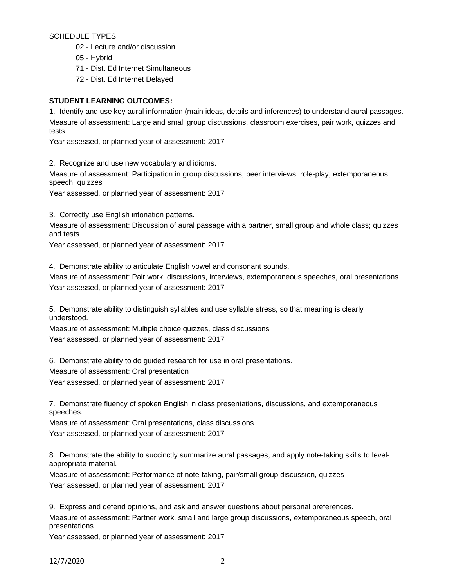SCHEDULE TYPES:

- 02 Lecture and/or discussion
- 05 Hybrid
- 71 Dist. Ed Internet Simultaneous
- 72 Dist. Ed Internet Delayed

# **STUDENT LEARNING OUTCOMES:**

1. Identify and use key aural information (main ideas, details and inferences) to understand aural passages. Measure of assessment: Large and small group discussions, classroom exercises, pair work, quizzes and tests

Year assessed, or planned year of assessment: 2017

2. Recognize and use new vocabulary and idioms.

Measure of assessment: Participation in group discussions, peer interviews, role-play, extemporaneous speech, quizzes

Year assessed, or planned year of assessment: 2017

3. Correctly use English intonation patterns.

Measure of assessment: Discussion of aural passage with a partner, small group and whole class; quizzes and tests

Year assessed, or planned year of assessment: 2017

4. Demonstrate ability to articulate English vowel and consonant sounds.

Measure of assessment: Pair work, discussions, interviews, extemporaneous speeches, oral presentations Year assessed, or planned year of assessment: 2017

5. Demonstrate ability to distinguish syllables and use syllable stress, so that meaning is clearly understood.

Measure of assessment: Multiple choice quizzes, class discussions Year assessed, or planned year of assessment: 2017

6. Demonstrate ability to do guided research for use in oral presentations.

Measure of assessment: Oral presentation

Year assessed, or planned year of assessment: 2017

7. Demonstrate fluency of spoken English in class presentations, discussions, and extemporaneous speeches.

Measure of assessment: Oral presentations, class discussions Year assessed, or planned year of assessment: 2017

8. Demonstrate the ability to succinctly summarize aural passages, and apply note-taking skills to levelappropriate material.

Measure of assessment: Performance of note-taking, pair/small group discussion, quizzes Year assessed, or planned year of assessment: 2017

9. Express and defend opinions, and ask and answer questions about personal preferences.

Measure of assessment: Partner work, small and large group discussions, extemporaneous speech, oral presentations

Year assessed, or planned year of assessment: 2017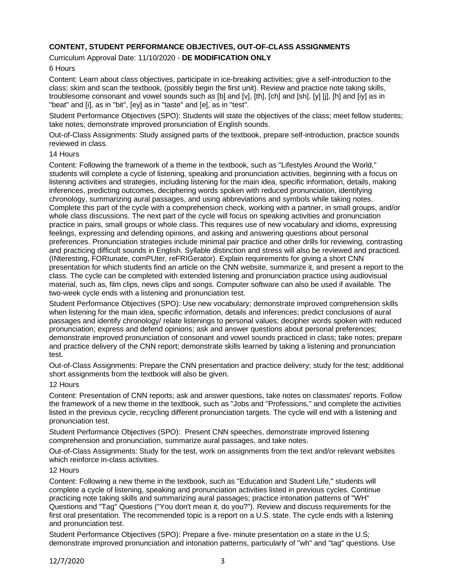# **CONTENT, STUDENT PERFORMANCE OBJECTIVES, OUT-OF-CLASS ASSIGNMENTS**

## Curriculum Approval Date: 11/10/2020 - **DE MODIFICATION ONLY**

## 6 Hours

Content: Learn about class objectives, participate in ice-breaking activities; give a self-introduction to the class; skim and scan the textbook, (possibly begin the first unit). Review and practice note taking skills, troublesome consonant and vowel sounds such as [b] and [v], [th], [ch] and [sh], [y] [j], [h] and [iy] as in "beat" and [i], as in "bit", [ey] as in "taste" and [e], as in "test".

Student Performance Objectives (SPO): Students will state the objectives of the class; meet fellow students; take notes; demonstrate improved pronunciation of English sounds.

Out-of-Class Assignments: Study assigned parts of the textbook, prepare self-introduction, practice sounds reviewed in class.

### 14 Hours

Content: Following the framework of a theme in the textbook, such as "Lifestyles Around the World," students will complete a cycle of listening, speaking and pronunciation activities, beginning with a focus on listening activities and strategies, including listening for the main idea, specific information, details, making inferences, predicting outcomes, deciphering words spoken with reduced pronunciation, identifying chronology, summarizing aural passages, and using abbreviations and symbols while taking notes. Complete this part of the cycle with a comprehension check, working with a partner, in small groups, and/or whole class discussions. The next part of the cycle will focus on speaking activities and pronunciation practice in pairs, small groups or whole class. This requires use of new vocabulary and idioms, expressing feelings, expressing and defending opinions, and asking and answering questions about personal preferences. Pronunciation strategies include minimal pair practice and other drills for reviewing, contrasting and practicing difficult sounds in English. Syllable distinction and stress will also be reviewed and practiced. (INteresting, FORtunate, comPUter, reFRIGerator). Explain requirements for giving a short CNN presentation for which students find an article on the CNN website, summarize it, and present a report to the class. The cycle can be completed with extended listening and pronunciation practice using audiovisual material, such as, film clips, news clips and songs. Computer software can also be used if available. The two-week cycle ends with a listening and pronunciation test.

Student Performance Objectives (SPO): Use new vocabulary; demonstrate improved comprehension skills when listening for the main idea, specific information, details and inferences; predict conclusions of aural passages and identify chronology/ relate listenings to personal values; decipher words spoken with reduced pronunciation; express and defend opinions; ask and answer questions about personal preferences; demonstrate improved pronunciation of consonant and vowel sounds practiced in class; take notes; prepare and practice delivery of the CNN report; demonstrate skills learned by taking a listening and pronunciation test.

Out-of-Class Assignments: Prepare the CNN presentation and practice delivery; study for the test; additional short assignments from the textbook will also be given.

### 12 Hours

Content: Presentation of CNN reports; ask and answer questions, take notes on classmates' reports. Follow the framework of a new theme in the textbook, such as "Jobs and "Professions," and complete the activities listed in the previous cycle, recycling different pronunciation targets. The cycle will end with a listening and pronunciation test.

Student Performance Objectives (SPO): Present CNN speeches, demonstrate improved listening comprehension and pronunciation, summarize aural passages, and take notes.

Out-of-Class Assignments: Study for the test, work on assignments from the text and/or relevant websites which reinforce in-class activities.

### 12 Hours

Content: Following a new theme in the textbook, such as "Education and Student Life," students will complete a cycle of listening, speaking and pronunciation activities listed in previous cycles. Continue practicing note taking skills and summarizing aural passages; practice intonation patterns of "WH" Questions and "Tag" Questions ("You don't mean it, do you?"). Review and discuss requirements for the first oral presentation. The recommended topic is a report on a U.S. state. The cycle ends with a listening and pronunciation test.

Student Performance Objectives (SPO): Prepare a five- minute presentation on a state in the U.S; demonstrate improved pronunciation and intonation patterns, particularly of "wh" and "tag" questions. Use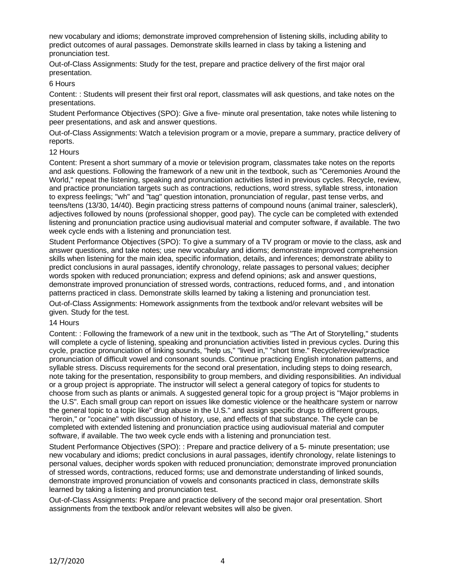new vocabulary and idioms; demonstrate improved comprehension of listening skills, including ability to predict outcomes of aural passages. Demonstrate skills learned in class by taking a listening and pronunciation test.

Out-of-Class Assignments: Study for the test, prepare and practice delivery of the first major oral presentation.

## 6 Hours

Content: : Students will present their first oral report, classmates will ask questions, and take notes on the presentations.

Student Performance Objectives (SPO): Give a five- minute oral presentation, take notes while listening to peer presentations, and ask and answer questions.

Out-of-Class Assignments: Watch a television program or a movie, prepare a summary, practice delivery of reports.

### 12 Hours

Content: Present a short summary of a movie or television program, classmates take notes on the reports and ask questions. Following the framework of a new unit in the textbook, such as "Ceremonies Around the World," repeat the listening, speaking and pronunciation activities listed in previous cycles. Recycle, review, and practice pronunciation targets such as contractions, reductions, word stress, syllable stress, intonation to express feelings; "wh" and "tag" question intonation, pronunciation of regular, past tense verbs, and teens/tens (13/30, 14/40). Begin practicing stress patterns of compound nouns (animal trainer, salesclerk), adjectives followed by nouns (professional shopper, good pay). The cycle can be completed with extended listening and pronunciation practice using audiovisual material and computer software, if available. The two week cycle ends with a listening and pronunciation test.

Student Performance Objectives (SPO): To give a summary of a TV program or movie to the class, ask and answer questions, and take notes; use new vocabulary and idioms; demonstrate improved comprehension skills when listening for the main idea, specific information, details, and inferences; demonstrate ability to predict conclusions in aural passages, identify chronology, relate passages to personal values; decipher words spoken with reduced pronunciation; express and defend opinions; ask and answer questions, demonstrate improved pronunciation of stressed words, contractions, reduced forms, and , and intonation patterns practiced in class. Demonstrate skills learned by taking a listening and pronunciation test.

Out-of-Class Assignments: Homework assignments from the textbook and/or relevant websites will be given. Study for the test.

### 14 Hours

Content: : Following the framework of a new unit in the textbook, such as "The Art of Storytelling," students will complete a cycle of listening, speaking and pronunciation activities listed in previous cycles. During this cycle, practice pronunciation of linking sounds, "help us," "lived in," "short time." Recycle/review/practice pronunciation of difficult vowel and consonant sounds. Continue practicing English intonation patterns, and syllable stress. Discuss requirements for the second oral presentation, including steps to doing research, note taking for the presentation, responsibility to group members, and dividing responsibilities. An individual or a group project is appropriate. The instructor will select a general category of topics for students to choose from such as plants or animals. A suggested general topic for a group project is "Major problems in the U.S". Each small group can report on issues like domestic violence or the healthcare system or narrow the general topic to a topic like" drug abuse in the U.S." and assign specific drugs to different groups, "heroin," or "cocaine" with discussion of history, use, and effects of that substance. The cycle can be completed with extended listening and pronunciation practice using audiovisual material and computer software, if available. The two week cycle ends with a listening and pronunciation test.

Student Performance Objectives (SPO): : Prepare and practice delivery of a 5- minute presentation; use new vocabulary and idioms; predict conclusions in aural passages, identify chronology, relate listenings to personal values, decipher words spoken with reduced pronunciation; demonstrate improved pronunciation of stressed words, contractions, reduced forms; use and demonstrate understanding of linked sounds, demonstrate improved pronunciation of vowels and consonants practiced in class, demonstrate skills learned by taking a listening and pronunciation test.

Out-of-Class Assignments: Prepare and practice delivery of the second major oral presentation. Short assignments from the textbook and/or relevant websites will also be given.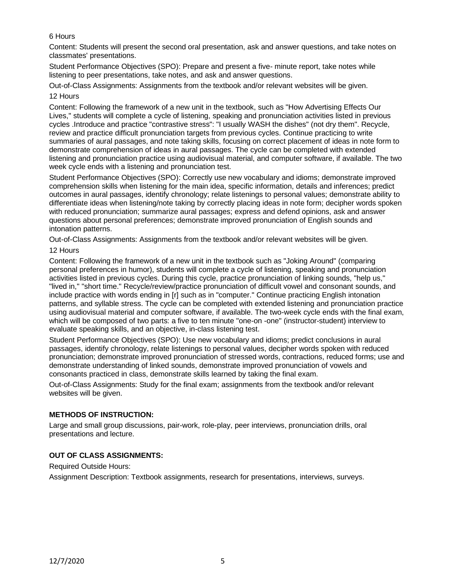# 6 Hours

Content: Students will present the second oral presentation, ask and answer questions, and take notes on classmates' presentations.

Student Performance Objectives (SPO): Prepare and present a five- minute report, take notes while listening to peer presentations, take notes, and ask and answer questions.

Out-of-Class Assignments: Assignments from the textbook and/or relevant websites will be given. 12 Hours

Content: Following the framework of a new unit in the textbook, such as "How Advertising Effects Our Lives," students will complete a cycle of listening, speaking and pronunciation activities listed in previous cycles .Introduce and practice "contrastive stress": "I usually WASH the dishes" (not dry them". Recycle, review and practice difficult pronunciation targets from previous cycles. Continue practicing to write summaries of aural passages, and note taking skills, focusing on correct placement of ideas in note form to demonstrate comprehension of ideas in aural passages. The cycle can be completed with extended listening and pronunciation practice using audiovisual material, and computer software, if available. The two week cycle ends with a listening and pronunciation test.

Student Performance Objectives (SPO): Correctly use new vocabulary and idioms; demonstrate improved comprehension skills when listening for the main idea, specific information, details and inferences; predict outcomes in aural passages, identify chronology; relate listenings to personal values; demonstrate ability to differentiate ideas when listening/note taking by correctly placing ideas in note form; decipher words spoken with reduced pronunciation; summarize aural passages; express and defend opinions, ask and answer questions about personal preferences; demonstrate improved pronunciation of English sounds and intonation patterns.

Out-of-Class Assignments: Assignments from the textbook and/or relevant websites will be given.

# 12 Hours

Content: Following the framework of a new unit in the textbook such as "Joking Around" (comparing personal preferences in humor), students will complete a cycle of listening, speaking and pronunciation activities listed in previous cycles. During this cycle, practice pronunciation of linking sounds, "help us," "lived in," "short time." Recycle/review/practice pronunciation of difficult vowel and consonant sounds, and include practice with words ending in [r] such as in "computer." Continue practicing English intonation patterns, and syllable stress. The cycle can be completed with extended listening and pronunciation practice using audiovisual material and computer software, if available. The two-week cycle ends with the final exam, which will be composed of two parts: a five to ten minute "one-on -one" (instructor-student) interview to evaluate speaking skills, and an objective, in-class listening test.

Student Performance Objectives (SPO): Use new vocabulary and idioms; predict conclusions in aural passages, identify chronology, relate listenings to personal values, decipher words spoken with reduced pronunciation; demonstrate improved pronunciation of stressed words, contractions, reduced forms; use and demonstrate understanding of linked sounds, demonstrate improved pronunciation of vowels and consonants practiced in class, demonstrate skills learned by taking the final exam.

Out-of-Class Assignments: Study for the final exam; assignments from the textbook and/or relevant websites will be given.

# **METHODS OF INSTRUCTION:**

Large and small group discussions, pair-work, role-play, peer interviews, pronunciation drills, oral presentations and lecture.

# **OUT OF CLASS ASSIGNMENTS:**

Required Outside Hours:

Assignment Description: Textbook assignments, research for presentations, interviews, surveys.